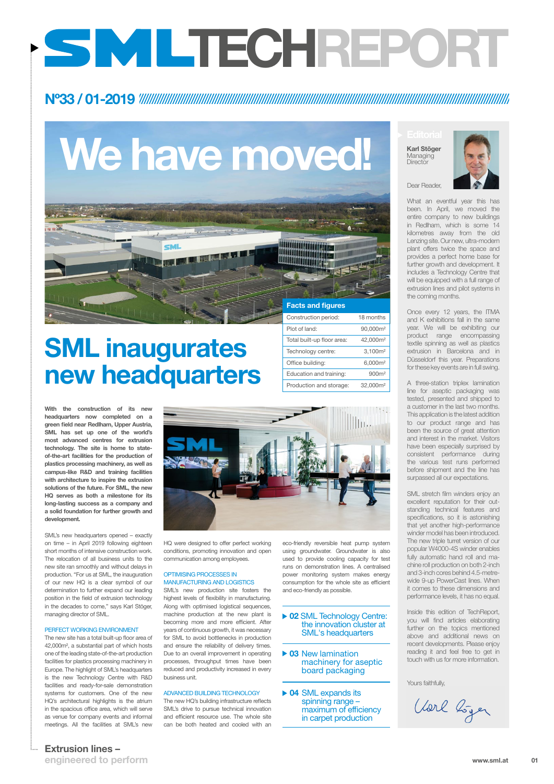01

### Extrusion lines –

engineered to perform

Dear Reader,

What an eventful year this has been. In April, we moved the entire company to new buildings in Redlham, which is some 14 kilometres away from the old Lenzing site. Our new, ultra-modern plant offers twice the space and provides a perfect home base for further growth and development. It includes a Technology Centre that will be equipped with a full range of extrusion lines and pilot systems in the coming months.

Once every 12 years, the ITMA and K exhibitions fall in the same year. We will be exhibiting our product range encompassing textile spinning as well as plastics extrusion in Barcelona and in Düsseldorf this year. Preparations for these key events are in full swing.

Karl Stöger Managing **Director** 



A three-station triplex lamination line for aseptic packaging was tested, presented and shipped to a customer in the last two months. This application is the latest addition to our product range and has been the source of great attention and interest in the market. Visitors have been especially surprised by consistent performance during the various test runs performed before shipment and the line has surpassed all our expectations.

With the construction of its new headquarters now completed on a green field near Redlham, Upper Austria, SML has set up one of the world's most advanced centres for extrusion technology. The site is home to stateof-the-art facilities for the production of plastics processing machinery, as well as campus-like R&D and training facilities with architecture to inspire the extrusion solutions of the future. For SML, the new HQ serves as both a milestone for its long-lasting success as a company and a solid foundation for further growth and development.

SML stretch film winders enjoy an excellent reputation for their outstanding technical features and specifications, so it is astonishing that yet another high-performance winder model has been introduced. The new triple turret version of our popular W4000-4S winder enables fully automatic hand roll and machine roll production on both 2-inch and 3-inch cores behind 4.5-metrewide 9-up PowerCast lines. When it comes to these dimensions and

performance levels, it has no equal.

Inside this edition of TechReport, you will find articles elaborating further on the topics mentioned above and additional news on recent developments. Please enjoy reading it and feel free to get in touch with us for more information.

Yours faithfully,

Vorl bijer

#### ▶ 02 SML Technology Centre: the innovation cluster at SML's headquarters

- ▶ 03 New lamination machinery for aseptic board packaging
- ▶ 04 SML expands its spinning range – maximum of efficiency in carpet production

SML's new headquarters opened – exactly on time – in April 2019 following eighteen short months of intensive construction work. The relocation of all business units to the new site ran smoothly and without delays in production. "For us at SML, the inauguration of our new HQ is a clear symbol of our determination to further expand our leading position in the field of extrusion technology in the decades to come," says Karl Stöger, managing director of SML.



#### PERFECT WORKING ENVIRONMENT

The new site has a total built-up floor area of 42,000m², a substantial part of which hosts one of the leading state-of-the-art production facilities for plastics processing machinery in Europe. The highlight of SML's headquarters is the new Technology Centre with R&D facilities and ready-for-sale demonstration systems for customers. One of the new HQ's architectural highlights is the atrium in the spacious office area, which will serve as venue for company events and informal meetings. All the facilities at SML's new

HQ were designed to offer perfect working conditions, promoting innovation and open communication among employees.

OPTIMISING PROCESSES IN MANUFACTURING AND LOGISTICS SML's new production site fosters the highest levels of flexibility in manufacturing. Along with optimised logistical sequences, machine production at the new plant is becoming more and more efficient. After years of continuous growth, it was necessary for SML to avoid bottlenecks in production and ensure the reliability of delivery times. Due to an overall improvement in operating processes, throughput times have been reduced and productivity increased in every business unit.

#### ADVANCED BUILDING TECHNOLOGY

The new HQ's building infrastructure reflects SML's drive to pursue technical innovation and efficient resource use. The whole site can be both heated and cooled with an

eco-friendly reversible heat pump system using groundwater. Groundwater is also used to provide cooling capacity for test runs on demonstration lines. A centralised power monitoring system makes energy consumption for the whole site as efficient and eco-friendly as possible.

# Nº33 / 01-2019

# We have moved!

# SML inaugurates new headquarters

# TECHREPORT





Education and training: 900m<sup>2</sup> Production and storage: 32,000m<sup>2</sup>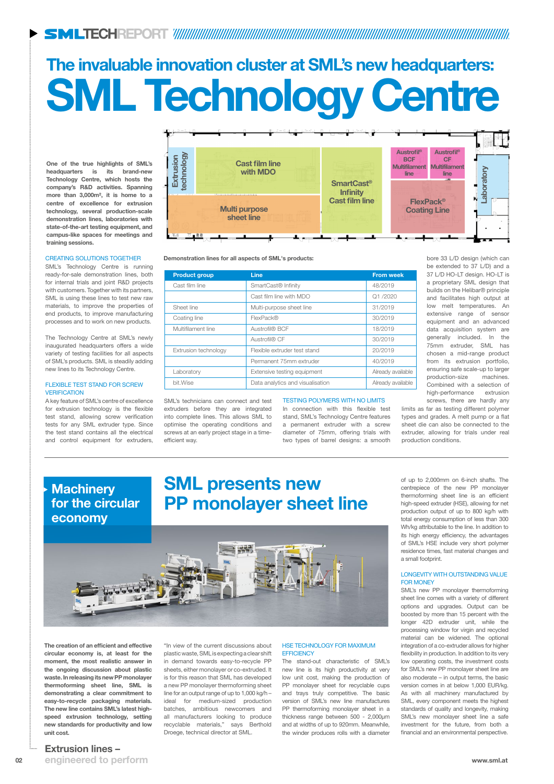02 www.sml.at engineered to perform

### Extrusion lines –

One of the true highlights of SML's headquarters is its brand-new Technology Centre, which hosts the company's R&D activities. Spanning more than 3,000m², it is home to a centre of excellence for extrusion technology, several production-scale demonstration lines, laboratories with state-of-the-art testing equipment, and campus-like spaces for meetings and training sessions.

# SML Technology Centre The invaluable innovation cluster at SML's new headquarters:

The creation of an efficient and effective circular economy is, at least for the moment, the most realistic answer in the ongoing discussion about plastic waste. In releasing its new PP monolayer thermoforming sheet line, SML is demonstrating a clear commitment to easy-to-recycle packaging materials. The new line contains SML's latest highspeed extrusion technology, setting new standards for productivity and low unit cost.

#### FLEXIBLE TEST STAND FOR SCREW **VERIFICATION**

"In view of the current discussions about plastic waste, SML is expecting a clear shift in demand towards easy-to-recycle PP sheets, either monolayer or co-extruded. It is for this reason that SML has developed a new PP monolayer thermoforming sheet line for an output range of up to 1,000 kg/h – ideal for medium-sized production batches, ambitious newcomers and all manufacturers looking to produce recyclable materials," says Berthold Droege, technical director at SML.



#### CREATING SOLUTIONS TOGETHER

SML's Technology Centre is running ready-for-sale demonstration lines, both for internal trials and joint R&D projects with customers. Together with its partners, SML is using these lines to test new raw materials, to improve the properties of end products, to improve manufacturing processes and to work on new products.

#### HSE TECHNOLOGY FOR MAXIMUM **EFFICIENCY**

The Technology Centre at SML's newly inaugurated headquarters offers a wide variety of testing facilities for all aspects of SML's products. SML is steadily adding new lines to its Technology Centre.

A key feature of SML's centre of excellence for extrusion technology is the flexible test stand, allowing screw verification tests for any SML extruder type. Since the test stand contains all the electrical and control equipment for extruders,

SML's technicians can connect and test extruders before they are integrated into complete lines. This allows SML to optimise the operating conditions and screws at an early project stage in a timeefficient way.

#### TESTING POLYMERS WITH NO LIMITS

In connection with this flexible test stand, SML's Technology Centre features a permanent extruder with a screw diameter of 75mm, offering trials with two types of barrel designs: a smooth

# **Machinery** for the circular economy

bore 33 L/D design (which can be extended to 37 L/D) and a 37 L/D HO-LT design. HO-LT is a proprietary SML design that builds on the Helibar® principle and facilitates high output at low melt temperatures. An extensive range of sensor equipment and an advanced data acquisition system are generally included. In the 75mm extruder, SML has chosen a mid-range product from its extrusion portfolio, ensuring safe scale-up to larger production-size machines. Combined with a selection of high-performance extrusion screws, there are hardly any

limits as far as testing different polymer types and grades. A melt pump or a flat sheet die can also be connected to the extruder, allowing for trials under real production conditions.

Demonstration lines for all aspects of SML's products:

| <b>Product group</b> | <b>Line</b>                      | <b>From week</b>  |
|----------------------|----------------------------------|-------------------|
| Cast film line       | SmartCast <sup>®</sup> Infinity  | 48/2019           |
|                      | Cast film line with MDO          | Q1/2020           |
| Sheet line           | Multi-purpose sheet line         | 31/2019           |
| Coating line         | FlexPack®                        | 30/2019           |
| Multifilament line   | Austrofil® BCF                   | 18/2019           |
|                      | Austrofil® CF                    | 30/2019           |
| Extrusion technology | Flexible extruder test stand     | 20/2019           |
|                      | Permanent 75mm extruder          | 40/2019           |
| Laboratory           | Extensive testing equipment      | Already available |
| bit.Wise             | Data analytics and visualisation | Already available |

The stand-out characteristic of SML's new line is its high productivity at very low unit cost, making the production of PP monolayer sheet for recyclable cups and trays truly competitive. The basic version of SML's new line manufactures PP thermoforming monolayer sheet in a thickness range between 500 - 2,000µm and at widths of up to 920mm. Meanwhile, the winder produces rolls with a diameter

of up to 2,000mm on 6-inch shafts. The centrepiece of the new PP monolayer thermoforming sheet line is an efficient high-speed extruder (HSE), allowing for net production output of up to 800 kg/h with total energy consumption of less than 300 Wh/kg attributable to the line. In addition to its high energy efficiency, the advantages of SML's HSE include very short polymer residence times, fast material changes and a small footprint.

#### LONGEVITY WITH OUTSTANDING VALUE FOR MONEY

SML's new PP monolayer thermoforming

sheet line comes with a variety of different options and upgrades. Output can be boosted by more than 15 percent with the longer 42D extruder unit, while the processing window for virgin and recycled material can be widened. The optional integration of a co-extruder allows for higher flexibility in production. In addition to its very low operating costs, the investment costs for SML's new PP monolayer sheet line are also moderate – in output terms, the basic version comes in at below 1,000 EUR/kg. As with all machinery manufactured by SML, every component meets the highest standards of quality and longevity, making SML's new monolayer sheet line a safe investment for the future, from both a financial and an environmental perspective.

# SML presents new PP monolayer sheet line

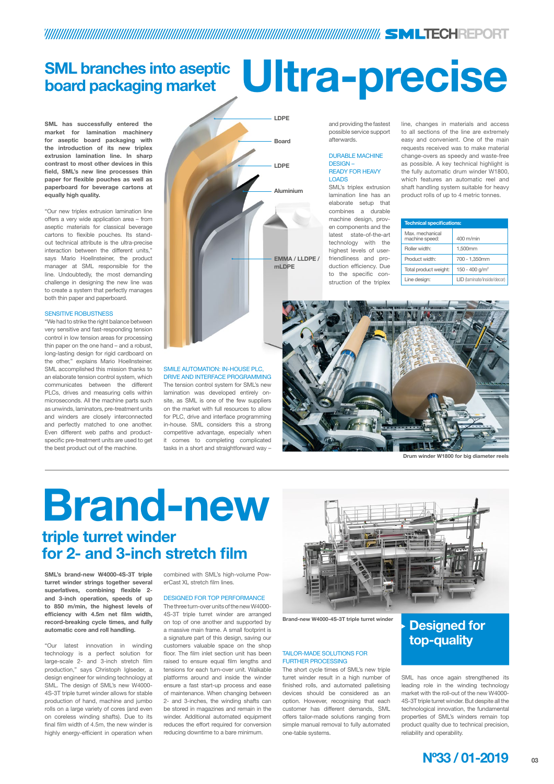

# TECHREPORT

# Brand-new triple turret winder for 2- and 3-inch stretch film

SML's brand-new W4000-4S-3T triple turret winder strings together several superlatives, combining flexible 2 and 3-inch operation, speeds of up to 850 m/min, the highest levels of efficiency with 4.5m net film width, record-breaking cycle times, and fully automatic core and roll handling.

"Our latest innovation in winding technology is a perfect solution for large-scale 2- and 3-inch stretch film production," says Christoph Iglseder, a design engineer for winding technology at SML. The design of SML's new W4000- 4S-3T triple turret winder allows for stable production of hand, machine and jumbo rolls on a large variety of cores (and even on coreless winding shafts). Due to its final film width of 4.5m, the new winder is highly energy-efficient in operation when

combined with SML's high-volume PowerCast XL stretch film lines.



DESIGNED FOR TOP PERFORMANCE

The three turn-over units of the new W4000- 4S-3T triple turret winder are arranged on top of one another and supported by a massive main frame. A small footprint is a signature part of this design, saving our customers valuable space on the shop floor. The film inlet section unit has been raised to ensure equal film lengths and tensions for each turn-over unit. Walkable platforms around and inside the winder ensure a fast start-up process and ease of maintenance. When changing between 2- and 3-inches, the winding shafts can be stored in magazines and remain in the winder. Additional automated equipment reduces the effort required for conversion reducing downtime to a bare minimum.

# Designed for top-quality

#### TAILOR-MADE SOLUTIONS FOR FURTHER PROCESSING

The short cycle times of SML's new triple turret winder result in a high number of finished rolls, and automated palletising devices should be considered as an option. However, recognising that each customer has different demands, SML offers tailor-made solutions ranging from simple manual removal to fully automated one-table systems.

SML has once again strengthened its leading role in the winding technology market with the roll-out of the new W4000- 4S-3T triple turret winder. But despite all the technological innovation, the fundamental properties of SML's winders remain top product quality due to technical precision, reliability and operability.

Brand-new W4000-4S-3T triple turret winder

SML has successfully entered the market for lamination machinery for aseptic board packaging with the introduction of its new triplex extrusion lamination line. In sharp contrast to most other devices in this field, SML's new line processes thin paper for flexible pouches as well as paperboard for beverage cartons at equally high quality.

"Our new triplex extrusion lamination line offers a very wide application area – from aseptic materials for classical beverage cartons to flexible pouches. Its standout technical attribute is the ultra-precise interaction between the different units," says Mario Hoellnsteiner, the product manager at SML responsible for the line. Undoubtedly, the most demanding challenge in designing the new line was to create a system that perfectly manages both thin paper and paperboard.

#### SENSITIVE ROBUSTNESS

"We had to strike the right balance between very sensitive and fast-responding tension control in low tension areas for processing thin paper on the one hand – and a robust, long-lasting design for rigid cardboard on the other," explains Mario Hoellnsteiner. SML accomplished this mission thanks to an elaborate tension control system, which communicates between the different PLCs, drives and measuring cells within microseconds. All the machine parts such as unwinds, laminators, pre-treatment units and winders are closely interconnected and perfectly matched to one another. Even different web paths and productspecific pre-treatment units are used to get the best product out of the machine.

#### SMILE AUTOMATION: IN-HOUSE PLC, DRIVE AND INTERFACE PROGRAMMING

The tension control system for SML's new lamination was developed entirely onsite, as SML is one of the few suppliers on the market with full resources to allow for PLC, drive and interface programming in-house. SML considers this a strong competitive advantage, especially when it comes to completing complicated tasks in a short and straightforward way –

and providing the fastest possible service support afterwards.

#### DURABLE MACHINE DESIGN – READY FOR HEAVY LOADS

SML's triplex extrusion lamination line has an elaborate setup that combines a durable machine design, proven components and the latest state-of-the-art technology with the highest levels of userfriendliness and production efficiency. Due to the specific construction of the triplex

line, changes in materials and access to all sections of the line are extremely easy and convenient. One of the main requests received was to make material change-overs as speedy and waste-free as possible. A key technical highlight is the fully automatic drum winder W1800, which features an automatic reel and shaft handling system suitable for heavy product rolls of up to 4 metric tonnes.

# SML branches into aseptic board packaging market Ultra-precise

| <b>Technical specifications:</b>  |                             |  |  |  |
|-----------------------------------|-----------------------------|--|--|--|
| Max. mechanical<br>machine speed: | 400 m/min                   |  |  |  |
| Roller width:                     | 1,500mm                     |  |  |  |
| Product width:                    | 700 - 1,350mm               |  |  |  |
| Total product weight:             | 150 - 400 g/m <sup>2</sup>  |  |  |  |
| Line design:                      | LID (laminate/inside/decor) |  |  |  |





Drum winder W1800 for big diameter reels